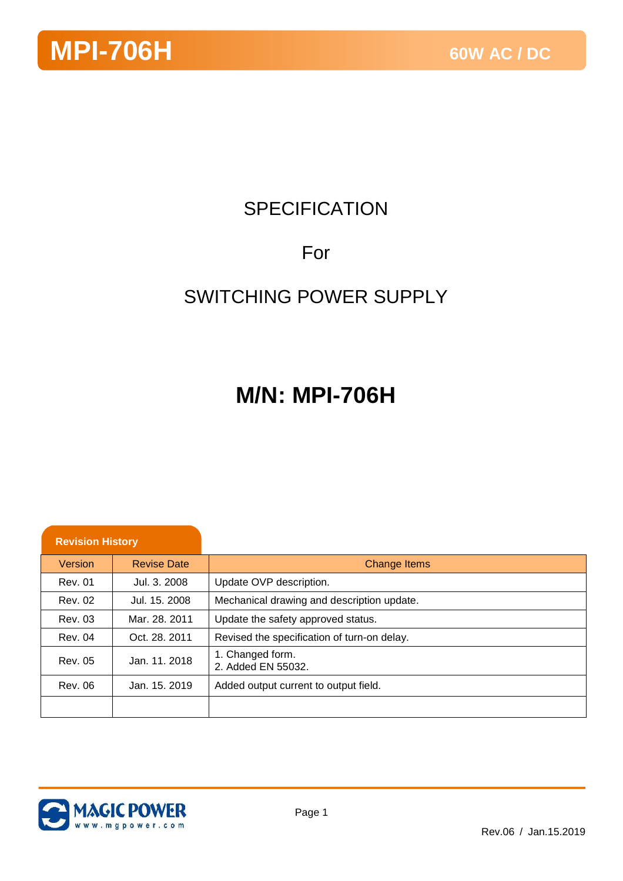## **SPECIFICATION**

### For

### SWITCHING POWER SUPPLY

## **M/N: MPI-706H**

| <b>Revision History</b> |                    |                                             |
|-------------------------|--------------------|---------------------------------------------|
| Version                 | <b>Revise Date</b> | <b>Change Items</b>                         |
| Rev. 01                 | Jul. 3. 2008       | Update OVP description.                     |
| Rev. 02                 | Jul. 15. 2008      | Mechanical drawing and description update.  |
| Rev. 03                 | Mar. 28, 2011      | Update the safety approved status.          |
| Rev. 04                 | Oct. 28, 2011      | Revised the specification of turn-on delay. |
| Rev. 05                 | Jan. 11, 2018      | 1. Changed form.<br>2. Added EN 55032.      |
| Rev. 06                 | Jan. 15, 2019      | Added output current to output field.       |
|                         |                    |                                             |

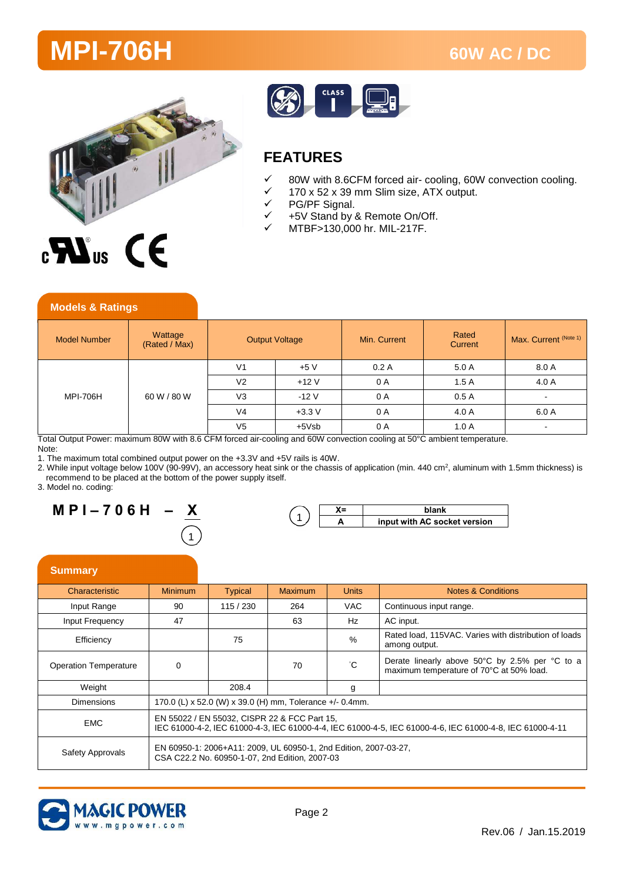



#### **FEATURES**

- 80W with 8.6CFM forced air- cooling, 60W convection cooling.
- $\checkmark$  170 x 52 x 39 mm Slim size, ATX output.<br> $\checkmark$  PG/PF Signal.
- $\checkmark$  PG/PF Signal.<br> $\checkmark$  +5V Stand by a
- +5V Stand by & Remote On/Off.
- MTBF>130,000 hr. MIL-217F.

| <b>Model Number</b>     | Wattage<br>(Rated / Max) | <b>Output Voltage</b> |          | Min. Current | Rated<br>Current | Max. Current (Note 1) |
|-------------------------|--------------------------|-----------------------|----------|--------------|------------------|-----------------------|
| 60 W / 80 W<br>MPI-706H | V <sub>1</sub>           | $+5V$                 | 0.2A     | 5.0 A        | 8.0 A            |                       |
|                         |                          | V <sub>2</sub>        | $+12V$   | 0 A          | 1.5A             | 4.0 A                 |
|                         |                          | V <sub>3</sub>        | $-12V$   | 0 A          | 0.5A             | $\sim$                |
|                         |                          | V <sub>4</sub>        | $+3.3 V$ | 0 A          | 4.0 A            | 6.0 A                 |
|                         |                          | V <sub>5</sub>        | $+5Vsb$  | 0 A          | 1.0A             | $\sim$                |

Total Output Power: maximum 80W with 8.6 CFM forced air-cooling and 60W convection cooling at 50°C ambient temperature.

Note:

1. The maximum total combined output power on the +3.3V and +5V rails is 40W.

2. While input voltage below 100V (90-99V), an accessory heat sink or the chassis of application (min. 440 cm<sup>2</sup>, aluminum with 1.5mm thickness) is recommend to be placed at the bottom of the power supply itself.

3. Model no. coding:

**Models & Ratings**

**M P I – 7 0 6 H – X**  ົາ<br>1

|  | input with AC socket version |  |  |  |  |  |
|--|------------------------------|--|--|--|--|--|
|  |                              |  |  |  |  |  |

#### **Summary**

| Characteristic               | <b>Minimum</b>                                                                                                                                           | <b>Typical</b>                                           | <b>Maximum</b> | <b>Units</b> | <b>Notes &amp; Conditions</b>                                                              |  |  |
|------------------------------|----------------------------------------------------------------------------------------------------------------------------------------------------------|----------------------------------------------------------|----------------|--------------|--------------------------------------------------------------------------------------------|--|--|
| Input Range                  | 90                                                                                                                                                       | 115/230                                                  | 264            | <b>VAC</b>   | Continuous input range.                                                                    |  |  |
| Input Frequency              | 47                                                                                                                                                       |                                                          | 63             | Hz           | AC input.                                                                                  |  |  |
| Efficiency                   |                                                                                                                                                          | 75                                                       |                | $\%$         | Rated load, 115VAC. Varies with distribution of loads<br>among output.                     |  |  |
| <b>Operation Temperature</b> | 0                                                                                                                                                        |                                                          | 70             | $^{\circ}C$  | Derate linearly above 50°C by 2.5% per °C to a<br>maximum temperature of 70°C at 50% load. |  |  |
| Weight                       |                                                                                                                                                          | 208.4                                                    |                | g            |                                                                                            |  |  |
| <b>Dimensions</b>            |                                                                                                                                                          | 170.0 (L) x 52.0 (W) x 39.0 (H) mm, Tolerance +/- 0.4mm. |                |              |                                                                                            |  |  |
| <b>EMC</b>                   | EN 55022 / EN 55032, CISPR 22 & FCC Part 15,<br>IEC 61000-4-2, IEC 61000-4-3, IEC 61000-4-4, IEC 61000-4-5, IEC 61000-4-6, IEC 61000-4-8, IEC 61000-4-11 |                                                          |                |              |                                                                                            |  |  |
| Safety Approvals             | EN 60950-1: 2006+A11: 2009, UL 60950-1, 2nd Edition, 2007-03-27,<br>CSA C22.2 No. 60950-1-07. 2nd Edition. 2007-03                                       |                                                          |                |              |                                                                                            |  |  |

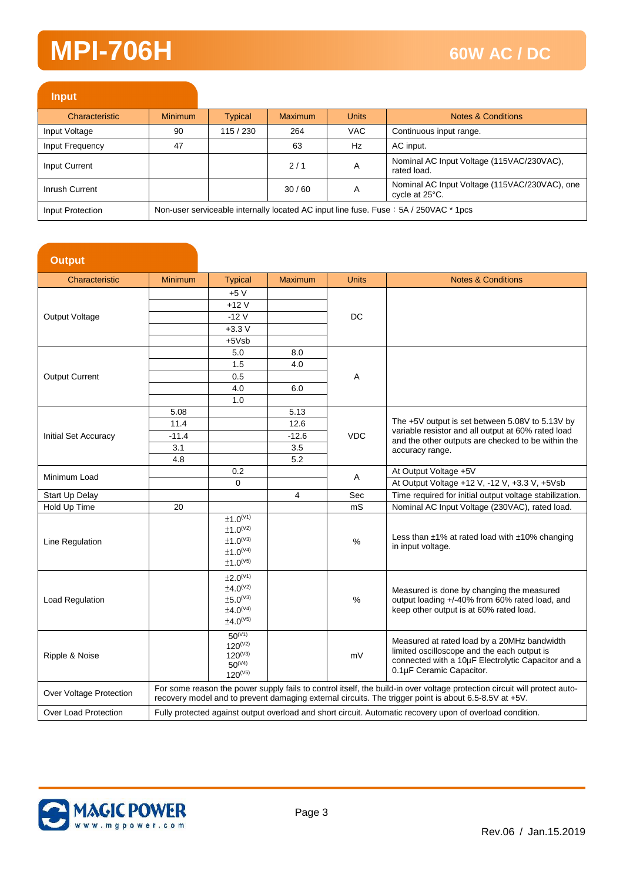| <b>Input</b>     |                                                                                      |         |                |              |                                                                 |
|------------------|--------------------------------------------------------------------------------------|---------|----------------|--------------|-----------------------------------------------------------------|
| Characteristic   | <b>Minimum</b>                                                                       | Typical | <b>Maximum</b> | <b>Units</b> | Notes & Conditions                                              |
| Input Voltage    | 90                                                                                   | 115/230 | 264            | <b>VAC</b>   | Continuous input range.                                         |
| Input Frequency  | 47                                                                                   |         | 63             | Hz           | AC input.                                                       |
| Input Current    |                                                                                      |         | 2/1            | A            | Nominal AC Input Voltage (115VAC/230VAC),<br>rated load.        |
| Inrush Current   |                                                                                      |         | 30/60          | A            | Nominal AC Input Voltage (115VAC/230VAC), one<br>cycle at 25°C. |
| Input Protection | Non-user serviceable internally located AC input line fuse. Fuse: 5A / 250VAC * 1pcs |         |                |              |                                                                 |

| <b>Output</b>           |                |                                       |         |              |                                                                                                                           |  |
|-------------------------|----------------|---------------------------------------|---------|--------------|---------------------------------------------------------------------------------------------------------------------------|--|
| Characteristic          | <b>Minimum</b> | <b>Typical</b>                        | Maximum | <b>Units</b> | <b>Notes &amp; Conditions</b>                                                                                             |  |
|                         |                | $+5V$                                 |         |              |                                                                                                                           |  |
|                         |                | $+12V$                                |         |              |                                                                                                                           |  |
| Output Voltage          |                | $-12V$                                |         | DC           |                                                                                                                           |  |
|                         |                | $+3.3V$                               |         |              |                                                                                                                           |  |
|                         |                | $+5Vsb$                               |         |              |                                                                                                                           |  |
|                         |                | 5.0                                   | 8.0     |              |                                                                                                                           |  |
|                         |                | 1.5                                   | 4.0     |              |                                                                                                                           |  |
| <b>Output Current</b>   |                | 0.5                                   |         | Α            |                                                                                                                           |  |
|                         |                | 4.0                                   | 6.0     |              |                                                                                                                           |  |
|                         |                | 1.0                                   |         |              |                                                                                                                           |  |
|                         | 5.08           |                                       | 5.13    |              |                                                                                                                           |  |
|                         | 11.4           |                                       | 12.6    |              | The +5V output is set between 5.08V to 5.13V by                                                                           |  |
| Initial Set Accuracy    | $-11.4$        |                                       | $-12.6$ | <b>VDC</b>   | variable resistor and all output at 60% rated load<br>and the other outputs are checked to be within the                  |  |
|                         | 3.1            |                                       | 3.5     |              | accuracy range.                                                                                                           |  |
|                         | 4.8            |                                       | 5.2     |              |                                                                                                                           |  |
| Minimum Load            |                | 0.2                                   |         | A            | At Output Voltage +5V                                                                                                     |  |
|                         |                | 0                                     |         |              | At Output Voltage +12 V, -12 V, +3.3 V, +5Vsb                                                                             |  |
| Start Up Delay          |                |                                       | 4       | Sec          | Time required for initial output voltage stabilization.                                                                   |  |
| Hold Up Time            | 20             |                                       |         | mS           | Nominal AC Input Voltage (230VAC), rated load.                                                                            |  |
|                         |                | ±1.0 <sup>(V1)</sup><br>$±1.0^{(V2)}$ |         |              | Less than $\pm 1\%$ at rated load with $\pm 10\%$ changing<br>in input voltage.                                           |  |
| Line Regulation         |                | $\pm 1.0^\mathrm{(V3)}$               |         | $\%$         |                                                                                                                           |  |
|                         |                | $\pm 1.0^\mathrm{(V4)}$               |         |              |                                                                                                                           |  |
|                         |                | $±1.0^{(V5)}$                         |         |              |                                                                                                                           |  |
|                         |                | ±2.0 <sup>(V1)</sup>                  |         |              |                                                                                                                           |  |
|                         |                | ±4.0 <sup>(V2)</sup>                  |         |              | Measured is done by changing the measured                                                                                 |  |
| Load Regulation         |                | $\pm 5.0^{(V3)}$                      |         | $\%$         | output loading +/-40% from 60% rated load, and                                                                            |  |
|                         |                | ±4.0 <sup>(V4)</sup>                  |         |              | keep other output is at 60% rated load.                                                                                   |  |
|                         |                | $±4.0^{(V5)}$                         |         |              |                                                                                                                           |  |
|                         |                | $50^{(V1)}$                           |         |              | Measured at rated load by a 20MHz bandwidth                                                                               |  |
|                         |                | $120^{(V2)}$                          |         |              | limited oscilloscope and the each output is                                                                               |  |
| Ripple & Noise          |                | $120^{(V3)}$<br>$50^{(V4)}$           |         | mV           | connected with a 10µF Electrolytic Capacitor and a                                                                        |  |
|                         |                | $120^{(V5)}$                          |         |              | 0.1µF Ceramic Capacitor.                                                                                                  |  |
|                         |                |                                       |         |              | For some reason the power supply fails to control itself, the build-in over voltage protection circuit will protect auto- |  |
| Over Voltage Protection |                |                                       |         |              | recovery model and to prevent damaging external circuits. The trigger point is about 6.5-8.5V at +5V.                     |  |
| Over Load Protection    |                |                                       |         |              | Fully protected against output overload and short circuit. Automatic recovery upon of overload condition.                 |  |

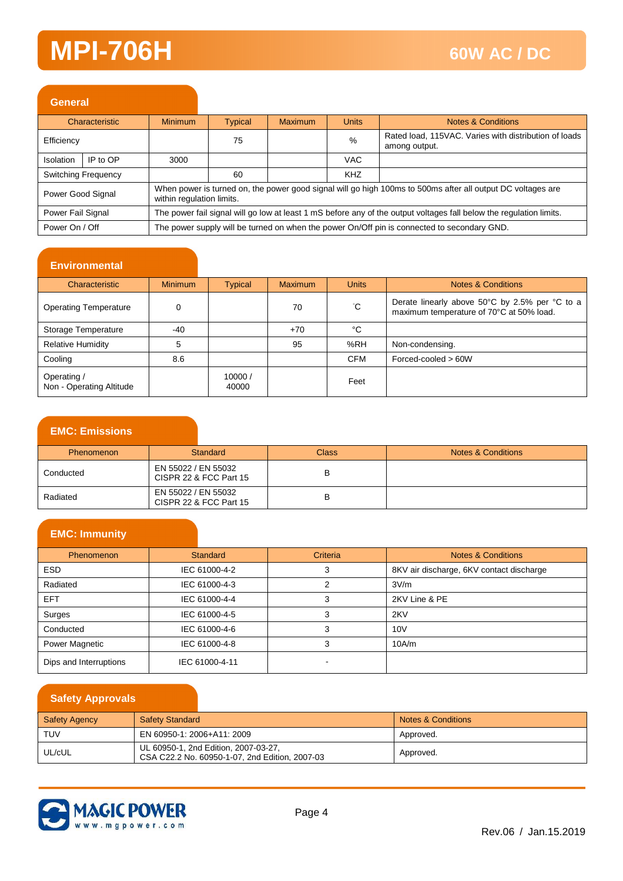| <b>General</b>                                                                                                                           |                                                                                                                                                               |                |                |         |              |                                                                        |
|------------------------------------------------------------------------------------------------------------------------------------------|---------------------------------------------------------------------------------------------------------------------------------------------------------------|----------------|----------------|---------|--------------|------------------------------------------------------------------------|
|                                                                                                                                          | Characteristic                                                                                                                                                | <b>Minimum</b> | <b>Typical</b> | Maximum | <b>Units</b> | Notes & Conditions                                                     |
| Efficiency                                                                                                                               |                                                                                                                                                               |                | 75             |         | %            | Rated load, 115VAC. Varies with distribution of loads<br>among output. |
| Isolation                                                                                                                                | IP to OP                                                                                                                                                      | 3000           |                |         | <b>VAC</b>   |                                                                        |
|                                                                                                                                          | Switching Frequency                                                                                                                                           |                | 60             |         | <b>KHZ</b>   |                                                                        |
|                                                                                                                                          | When power is turned on, the power good signal will go high 100ms to 500ms after all output DC voltages are<br>Power Good Signal<br>within regulation limits. |                |                |         |              |                                                                        |
| The power fail signal will go low at least 1 mS before any of the output voltages fall below the regulation limits.<br>Power Fail Signal |                                                                                                                                                               |                |                |         |              |                                                                        |
|                                                                                                                                          | The power supply will be turned on when the power On/Off pin is connected to secondary GND.<br>Power On / Off                                                 |                |                |         |              |                                                                        |

#### **Environmental**

| Characteristic                          | <b>Minimum</b> | <b>Typical</b>  | <b>Maximum</b> | <b>Units</b> | <b>Notes &amp; Conditions</b>                                                              |
|-----------------------------------------|----------------|-----------------|----------------|--------------|--------------------------------------------------------------------------------------------|
| <b>Operating Temperature</b>            |                |                 | 70             | °С           | Derate linearly above 50°C by 2.5% per °C to a<br>maximum temperature of 70°C at 50% load. |
| Storage Temperature                     | -40            |                 | $+70$          | °C           |                                                                                            |
| <b>Relative Humidity</b>                | 5              |                 | 95             | %RH          | Non-condensing.                                                                            |
| Cooling                                 | 8.6            |                 |                | <b>CFM</b>   | $Forced-cooled > 60W$                                                                      |
| Operating /<br>Non - Operating Altitude |                | 10000/<br>40000 |                | Feet         |                                                                                            |

#### **EMC: Emissions**

| <b>Phenomenon</b> | Standard                                      | <b>Class</b> | Notes & Conditions |
|-------------------|-----------------------------------------------|--------------|--------------------|
| Conducted         | EN 55022 / EN 55032<br>CISPR 22 & FCC Part 15 |              |                    |
| Radiated          | EN 55022 / EN 55032<br>CISPR 22 & FCC Part 15 |              |                    |

#### **EMC: Immunity**

| <b>Phenomenon</b>      | Standard       | Criteria | <b>Notes &amp; Conditions</b>            |
|------------------------|----------------|----------|------------------------------------------|
| <b>ESD</b>             | IEC 61000-4-2  | -3       | 8KV air discharge, 6KV contact discharge |
| Radiated               | IEC 61000-4-3  |          | 3V/m                                     |
| EFT.                   | IEC 61000-4-4  |          | 2KV Line & PE                            |
| Surges                 | IEC 61000-4-5  |          | 2KV                                      |
| Conducted              | IEC 61000-4-6  |          | 10V                                      |
| Power Magnetic         | IEC 61000-4-8  |          | 10A/m                                    |
| Dips and Interruptions | IEC 61000-4-11 |          |                                          |

#### **Safety Approvals**

| <b>Safety Agency</b> | <b>Safety Standard</b>                                                                 | Notes & Conditions |
|----------------------|----------------------------------------------------------------------------------------|--------------------|
| <b>TUV</b>           | EN 60950-1: 2006+A11: 2009                                                             | Approved.          |
| UL/cUL               | UL 60950-1, 2nd Edition, 2007-03-27,<br>CSA C22.2 No. 60950-1-07, 2nd Edition, 2007-03 | Approved.          |

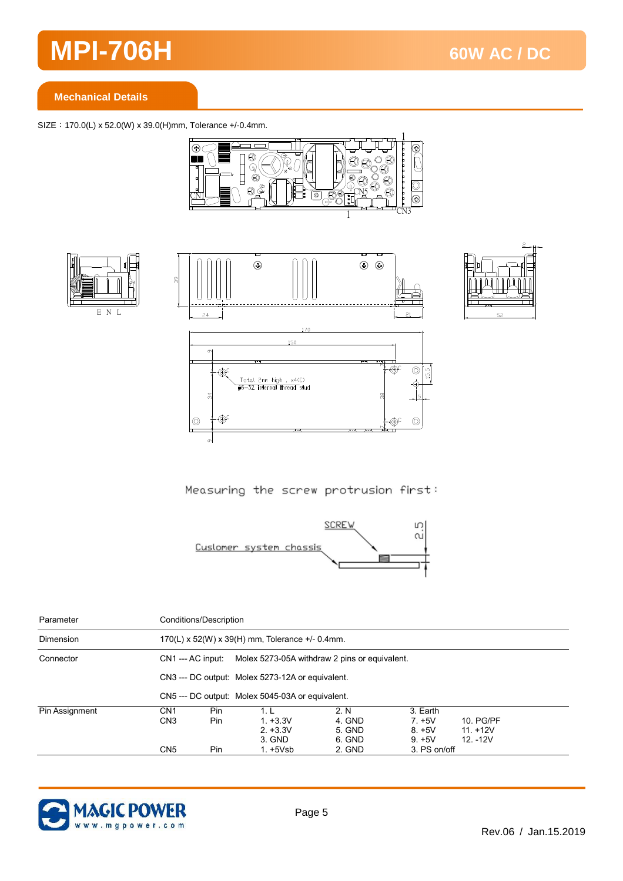#### **Mechanical Details**

SIZE:170.0(L) x 52.0(W) x 39.0(H)mm, Tolerance +/-0.4mm.









Measuring the screw protrusion first:



| Parameter      |                                    | Conditions/Description                                             |                                                  |                                    |                                                 |                                       |  |
|----------------|------------------------------------|--------------------------------------------------------------------|--------------------------------------------------|------------------------------------|-------------------------------------------------|---------------------------------------|--|
| Dimension      |                                    | $170(L)$ x 52(W) x 39(H) mm, Tolerance +/- 0.4mm.                  |                                                  |                                    |                                                 |                                       |  |
| Connector      |                                    | Molex 5273-05A withdraw 2 pins or equivalent.<br>CN1 --- AC input: |                                                  |                                    |                                                 |                                       |  |
|                |                                    | CN3 --- DC output: Molex 5273-12A or equivalent.                   |                                                  |                                    |                                                 |                                       |  |
|                |                                    |                                                                    | CN5 --- DC output: Molex 5045-03A or equivalent. |                                    |                                                 |                                       |  |
| Pin Assignment | CN <sub>1</sub><br>CN <sub>3</sub> | Pin.<br>Pin.                                                       | 1 I<br>$1. +3.3V$<br>$2. +3.3V$<br>3. GND        | 2. N<br>4. GND<br>5. GND<br>6. GND | 3. Earth<br>$7. + 5V$<br>$8. + 5V$<br>$9. + 5V$ | 10. PG/PF<br>$11 + 12V$<br>$12. -12V$ |  |
|                | CN <sub>5</sub>                    | Pin.                                                               | $1. +5Vsb$                                       | 2. GND                             | 3. PS on/off                                    |                                       |  |